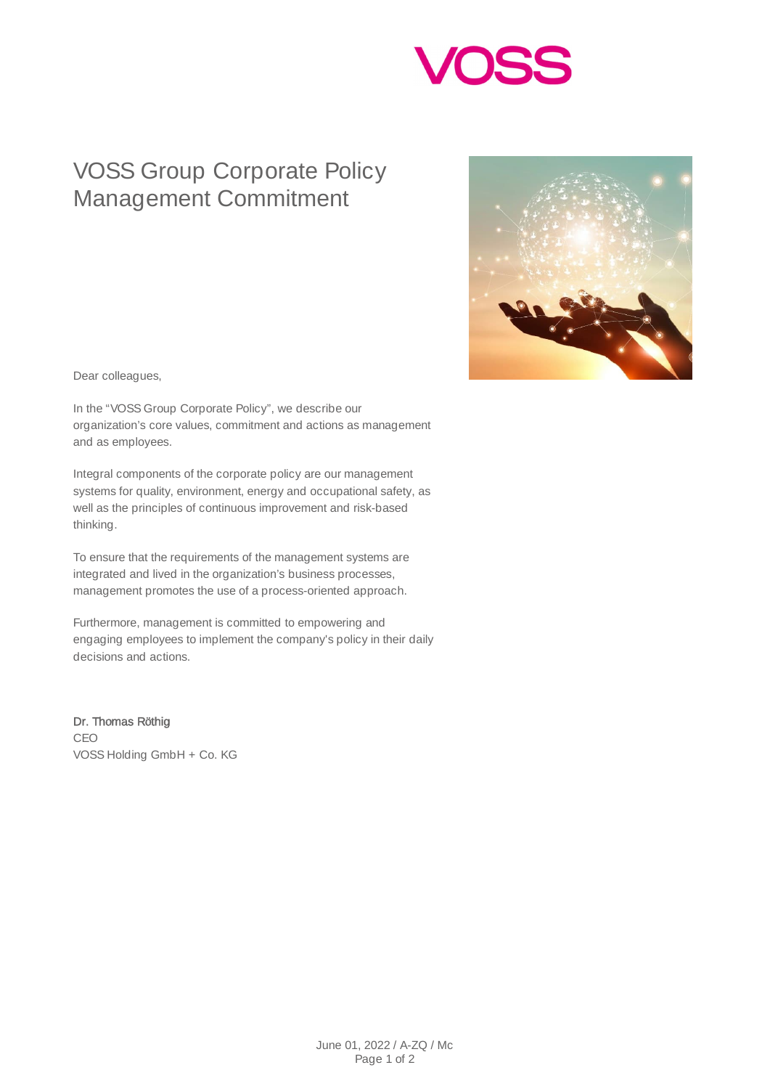

## VOSS Group Corporate Policy Management Commitment



Dear colleagues,

In the "VOSS Group Corporate Policy", we describe our organization's core values, commitment and actions as management and as employees.

Integral components of the corporate policy are our management systems for quality, environment, energy and occupational safety, as well as the principles of continuous improvement and risk-based thinking.

To ensure that the requirements of the management systems are integrated and lived in the organization's business processes, management promotes the use of a process-oriented approach.

Furthermore, management is committed to empowering and engaging employees to implement the company's policy in their daily decisions and actions.

Dr. Thomas Röthig CEO VOSS Holding GmbH + Co. KG